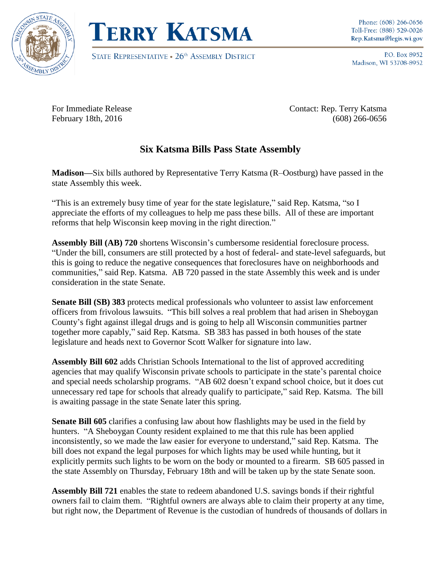



STATE REPRESENTATIVE . 26<sup>th</sup> ASSEMBLY DISTRICT

P.O. Box 8952 Madison, WI 53708-8952

For Immediate Release Contact: Rep. Terry Katsma February 18th, 2016 (608) 266-0656

## **Six Katsma Bills Pass State Assembly**

**Madison—**Six bills authored by Representative Terry Katsma (R–Oostburg) have passed in the state Assembly this week.

"This is an extremely busy time of year for the state legislature," said Rep. Katsma, "so I appreciate the efforts of my colleagues to help me pass these bills. All of these are important reforms that help Wisconsin keep moving in the right direction."

**Assembly Bill (AB) 720** shortens Wisconsin's cumbersome residential foreclosure process. "Under the bill, consumers are still protected by a host of federal- and state-level safeguards, but this is going to reduce the negative consequences that foreclosures have on neighborhoods and communities," said Rep. Katsma. AB 720 passed in the state Assembly this week and is under consideration in the state Senate.

**Senate Bill (SB) 383** protects medical professionals who volunteer to assist law enforcement officers from frivolous lawsuits. "This bill solves a real problem that had arisen in Sheboygan County's fight against illegal drugs and is going to help all Wisconsin communities partner together more capably," said Rep. Katsma. SB 383 has passed in both houses of the state legislature and heads next to Governor Scott Walker for signature into law.

**Assembly Bill 602** adds Christian Schools International to the list of approved accrediting agencies that may qualify Wisconsin private schools to participate in the state's parental choice and special needs scholarship programs. "AB 602 doesn't expand school choice, but it does cut unnecessary red tape for schools that already qualify to participate," said Rep. Katsma. The bill is awaiting passage in the state Senate later this spring.

**Senate Bill 605** clarifies a confusing law about how flashlights may be used in the field by hunters. "A Sheboygan County resident explained to me that this rule has been applied inconsistently, so we made the law easier for everyone to understand," said Rep. Katsma. The bill does not expand the legal purposes for which lights may be used while hunting, but it explicitly permits such lights to be worn on the body or mounted to a firearm. SB 605 passed in the state Assembly on Thursday, February 18th and will be taken up by the state Senate soon.

**Assembly Bill 721** enables the state to redeem abandoned U.S. savings bonds if their rightful owners fail to claim them. "Rightful owners are always able to claim their property at any time, but right now, the Department of Revenue is the custodian of hundreds of thousands of dollars in